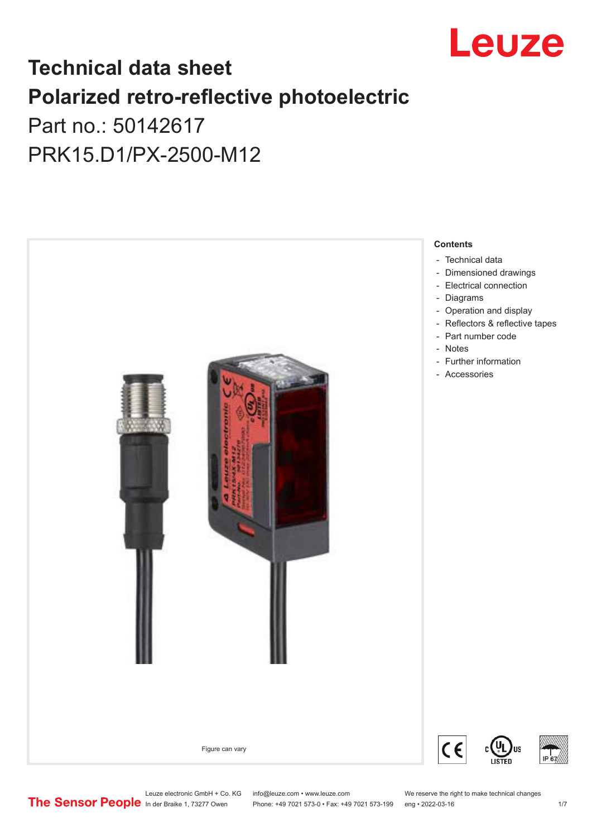

## **Technical data sheet Polarized retro-reflective photoelectric**  Part no.: 50142617

PRK15.D1/PX-2500-M12



Leuze electronic GmbH + Co. KG info@leuze.com • www.leuze.com We reserve the right to make technical changes<br>
The Sensor People in der Braike 1, 73277 Owen Phone: +49 7021 573-0 • Fax: +49 7021 573-199 eng • 2022-03-16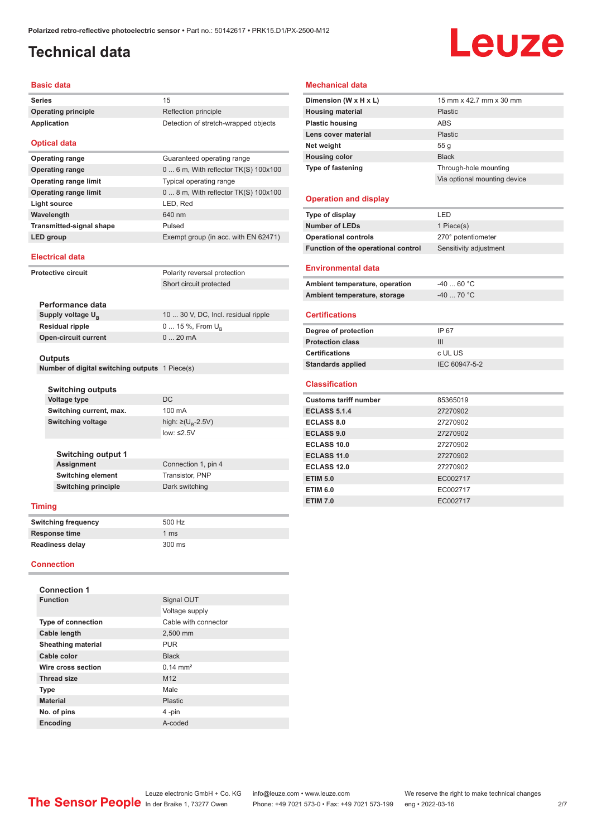## <span id="page-1-0"></span>**Technical data**

# Leuze

#### **Basic data**

| <b>Series</b>                | 15                                     |
|------------------------------|----------------------------------------|
| <b>Operating principle</b>   | Reflection principle                   |
| <b>Application</b>           | Detection of stretch-wrapped objects   |
| <b>Optical data</b>          |                                        |
| <b>Operating range</b>       | Guaranteed operating range             |
| <b>Operating range</b>       | $06$ m, With reflector TK(S) $100x100$ |
| <b>Operating range limit</b> | Typical operating range                |
| <b>Operating range limit</b> | $08$ m, With reflector TK(S) $100x100$ |
| Light source                 | LED, Red                               |
| Wavelength                   | 640 nm                                 |

#### **Electrical data**

| <b>Protective circuit</b> |                                                | Polarity reversal protection        |
|---------------------------|------------------------------------------------|-------------------------------------|
|                           |                                                | Short circuit protected             |
|                           |                                                |                                     |
|                           | Performance data                               |                                     |
|                           | Supply voltage $U_{\rm B}$                     | 10  30 V, DC, Incl. residual ripple |
|                           | <b>Residual ripple</b>                         | 0  15 %, From $U_{\rm p}$           |
|                           | <b>Open-circuit current</b>                    | $020$ mA                            |
|                           |                                                |                                     |
|                           | <b>Outputs</b>                                 |                                     |
|                           | Number of digital switching outputs 1 Piece(s) |                                     |

**LED group** Exempt group (in acc. with EN 62471)

**Number of digital switching outputs** 1 Piece(s)

**Transmitted-signal shape** Pulsed

| <b>Switching outputs</b> |                                    |
|--------------------------|------------------------------------|
| Voltage type             | DC.                                |
| Switching current, max.  | $100 \text{ mA}$                   |
| <b>Switching voltage</b> | high: $\geq (U_{\text{B}} - 2.5V)$ |
|                          | low: $\leq 2.5V$                   |
|                          |                                    |

| <b>Switching output 1</b>  |                     |
|----------------------------|---------------------|
| <b>Assignment</b>          | Connection 1, pin 4 |
| <b>Switching element</b>   | Transistor, PNP     |
| <b>Switching principle</b> | Dark switching      |
|                            |                     |

#### **Timing**

| Switching frequency | 500 Hz        |
|---------------------|---------------|
| Response time       | 1 $\text{ms}$ |
| Readiness delay     | 300 ms        |

#### **Connection**

| <b>Connection 1</b>       |                       |  |
|---------------------------|-----------------------|--|
| <b>Function</b>           | Signal OUT            |  |
|                           | Voltage supply        |  |
| <b>Type of connection</b> | Cable with connector  |  |
| <b>Cable length</b>       | 2,500 mm              |  |
| <b>Sheathing material</b> | <b>PUR</b>            |  |
| Cable color               | <b>Black</b>          |  |
| Wire cross section        | $0.14 \, \text{mm}^2$ |  |
| <b>Thread size</b>        | M <sub>12</sub>       |  |
| <b>Type</b>               | Male                  |  |
| <b>Material</b>           | Plastic               |  |
| No. of pins               | 4-pin                 |  |
| <b>Encoding</b>           | A-coded               |  |

#### **Mechanical data**

| Dimension (W x H x L)    | 15 mm x 42.7 mm x 30 mm      |
|--------------------------|------------------------------|
| <b>Housing material</b>  | <b>Plastic</b>               |
| <b>Plastic housing</b>   | ABS                          |
| Lens cover material      | Plastic                      |
| Net weight               | 55 g                         |
| <b>Housing color</b>     | <b>Black</b>                 |
| <b>Type of fastening</b> | Through-hole mounting        |
|                          | Via optional mounting device |
|                          |                              |

#### **Operation and display**

| Type of display                     | LED                    |  |
|-------------------------------------|------------------------|--|
| <b>Number of LEDs</b>               | 1 Piece(s)             |  |
| <b>Operational controls</b>         | 270° potentiometer     |  |
| Function of the operational control | Sensitivity adjustment |  |
| <b>Environmental data</b>           |                        |  |
| Ambient temperature, operation      | $-4060 °C$             |  |
| Ambient temperature, storage        | $-40$ 70 °C            |  |
| <b>Certifications</b>               |                        |  |
| Degree of protection                | IP 67                  |  |
| <b>Protection class</b>             | III                    |  |
| <b>Certifications</b>               | c UL US                |  |
| <b>Standards applied</b>            | IEC 60947-5-2          |  |
| <b>Classification</b>               |                        |  |
| <b>Customs tariff number</b>        | 85365019               |  |
| <b>ECLASS 5.1.4</b>                 | 27270902               |  |
| <b>ECLASS 8.0</b>                   | 27270902               |  |
| <b>ECLASS 9.0</b>                   | 27270902               |  |
| ECLASS 10.0                         | 27270902               |  |
| <b>ECLASS 11.0</b>                  | 27270902               |  |
| <b>ECLASS 12.0</b>                  | 27270902               |  |
| <b>ETIM 5.0</b>                     | EC002717               |  |
| <b>ETIM 6.0</b>                     | EC002717               |  |
| <b>ETIM 7.0</b>                     | EC002717               |  |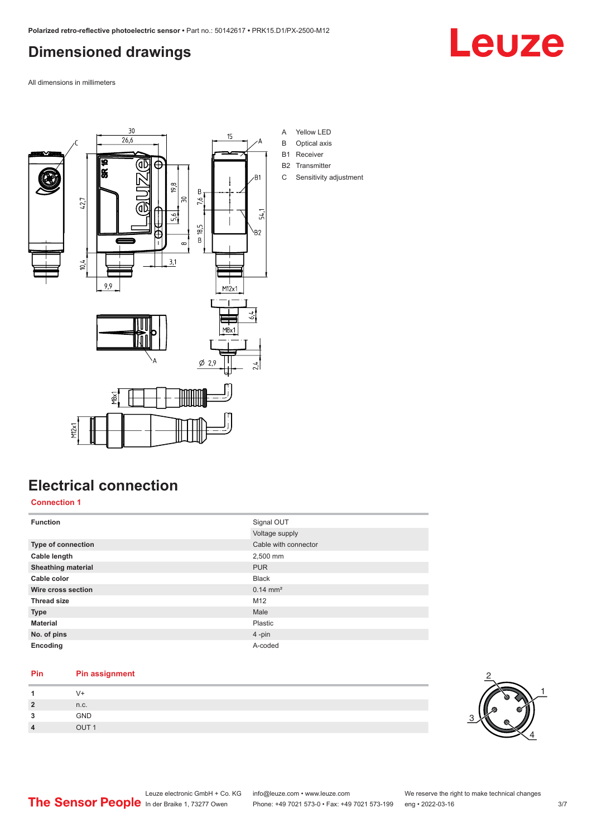## <span id="page-2-0"></span>**Dimensioned drawings**

Leuze

All dimensions in millimeters



- A Yellow LED
- B Optical axis
- B1 Receiver
- B2 Transmitter
- C Sensitivity adjustment

### **Electrical connection**

#### **Connection 1**

| <b>Function</b>           | Signal OUT           |
|---------------------------|----------------------|
|                           | Voltage supply       |
| Type of connection        | Cable with connector |
| Cable length              | 2,500 mm             |
| <b>Sheathing material</b> | <b>PUR</b>           |
| Cable color               | <b>Black</b>         |
| Wire cross section        | $0.14 \text{ mm}^2$  |
| <b>Thread size</b>        | M <sub>12</sub>      |
| <b>Type</b>               | Male                 |
| <b>Material</b>           | Plastic              |
| No. of pins               | $4$ -pin             |
| Encoding                  | A-coded              |

#### **Pin Pin assignment**

|   | n.c.          |
|---|---------------|
| ິ | GND           |
| л | $Q$ $I$ $T$ 1 |

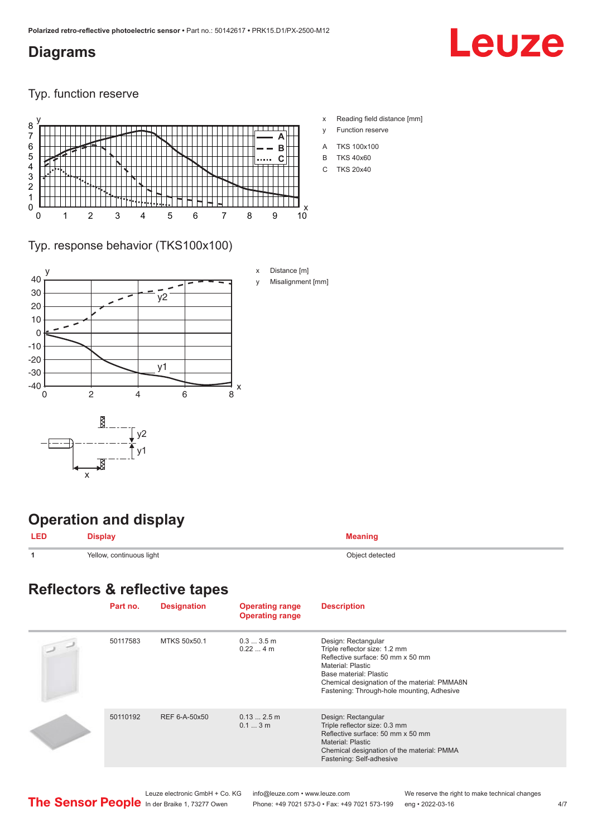#### <span id="page-3-0"></span>**Diagrams**

## Leuze

Typ. function reserve



- x Reading field distance [mm]
- y Function reserve
- A TKS 100x100
- B TKS 40x60
- C TKS 20x40

#### Typ. response behavior (TKS100x100)



## **Operation and display**

| $- - -$ |                          | . <u>. .</u>    |
|---------|--------------------------|-----------------|
|         | Yellow, continuous light | Ohiect detected |

#### **Reflectors & reflective tapes**

| Part no. | <b>Designation</b> | <b>Operating range</b><br><b>Operating range</b> | <b>Description</b>                                                                                                                                                                                                                     |
|----------|--------------------|--------------------------------------------------|----------------------------------------------------------------------------------------------------------------------------------------------------------------------------------------------------------------------------------------|
| 50117583 | MTKS 50x50.1       | $0.33.5$ m<br>$0.224$ m                          | Design: Rectangular<br>Triple reflector size: 1.2 mm<br>Reflective surface: 50 mm x 50 mm<br>Material: Plastic<br>Base material: Plastic<br>Chemical designation of the material: PMMA8N<br>Fastening: Through-hole mounting, Adhesive |
| 50110192 | REF 6-A-50x50      | $0.132.5$ m<br>0.13m                             | Design: Rectangular<br>Triple reflector size: 0.3 mm<br>Reflective surface: 50 mm x 50 mm<br><b>Material: Plastic</b><br>Chemical designation of the material: PMMA<br>Fastening: Self-adhesive                                        |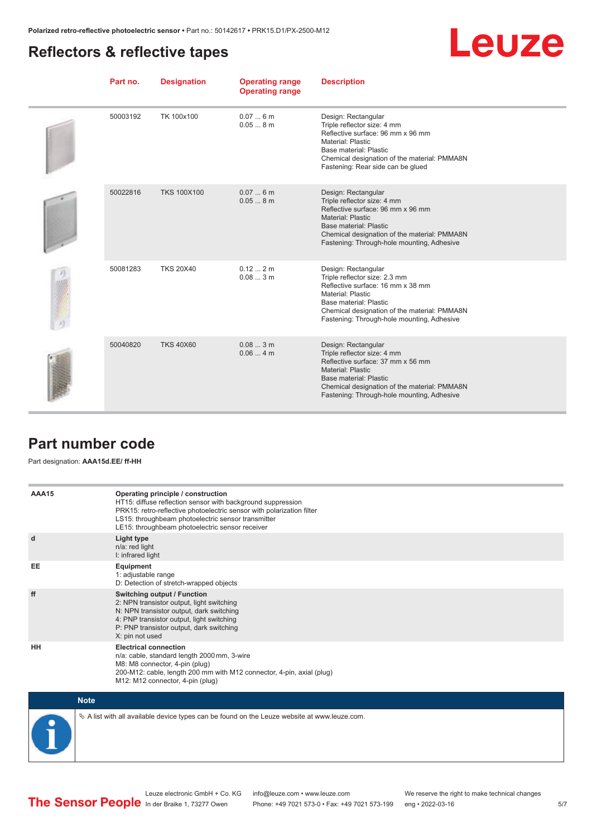### <span id="page-4-0"></span>**Reflectors & reflective tapes**



| Part no. | <b>Designation</b> | <b>Operating range</b><br><b>Operating range</b> | <b>Description</b>                                                                                                                                                                                                                     |
|----------|--------------------|--------------------------------------------------|----------------------------------------------------------------------------------------------------------------------------------------------------------------------------------------------------------------------------------------|
| 50003192 | TK 100x100         | 0.076m<br>0.058m                                 | Design: Rectangular<br>Triple reflector size: 4 mm<br>Reflective surface: 96 mm x 96 mm<br>Material: Plastic<br>Base material: Plastic<br>Chemical designation of the material: PMMA8N<br>Fastening: Rear side can be glued            |
| 50022816 | <b>TKS 100X100</b> | 0.076m<br>0.058m                                 | Design: Rectangular<br>Triple reflector size: 4 mm<br>Reflective surface: 96 mm x 96 mm<br>Material: Plastic<br>Base material: Plastic<br>Chemical designation of the material: PMMA8N<br>Fastening: Through-hole mounting, Adhesive   |
| 50081283 | <b>TKS 20X40</b>   | 0.122m<br>0.083m                                 | Design: Rectangular<br>Triple reflector size: 2.3 mm<br>Reflective surface: 16 mm x 38 mm<br>Material: Plastic<br>Base material: Plastic<br>Chemical designation of the material: PMMA8N<br>Fastening: Through-hole mounting, Adhesive |
| 50040820 | <b>TKS 40X60</b>   | 0.083m<br>0.064m                                 | Design: Rectangular<br>Triple reflector size: 4 mm<br>Reflective surface: 37 mm x 56 mm<br>Material: Plastic<br>Base material: Plastic<br>Chemical designation of the material: PMMA8N<br>Fastening: Through-hole mounting, Adhesive   |

#### **Part number code**

Part designation: **AAA15d.EE/ ff-HH**

| AAA15     | Operating principle / construction<br>HT15: diffuse reflection sensor with background suppression<br>PRK15: retro-reflective photoelectric sensor with polarization filter<br>LS15: throughbeam photoelectric sensor transmitter<br>LE15: throughbeam photoelectric sensor receiver |
|-----------|-------------------------------------------------------------------------------------------------------------------------------------------------------------------------------------------------------------------------------------------------------------------------------------|
| d         | Light type<br>n/a: red light<br>I: infrared light                                                                                                                                                                                                                                   |
| EE        | Equipment<br>1: adjustable range<br>D: Detection of stretch-wrapped objects                                                                                                                                                                                                         |
| ff        | <b>Switching output / Function</b><br>2: NPN transistor output, light switching<br>N: NPN transistor output, dark switching<br>4: PNP transistor output, light switching<br>P: PNP transistor output, dark switching<br>X: pin not used                                             |
| <b>HH</b> | <b>Electrical connection</b><br>n/a: cable, standard length 2000 mm, 3-wire<br>M8: M8 connector, 4-pin (plug)<br>200-M12: cable, length 200 mm with M12 connector, 4-pin, axial (plug)<br>M12: M12 connector, 4-pin (plug)                                                          |



 $\%$  A list with all available device types can be found on the Leuze website at www.leuze.com.

Phone: +49 7021 573-0 • Fax: +49 7021 573-199 eng • 2022-03-16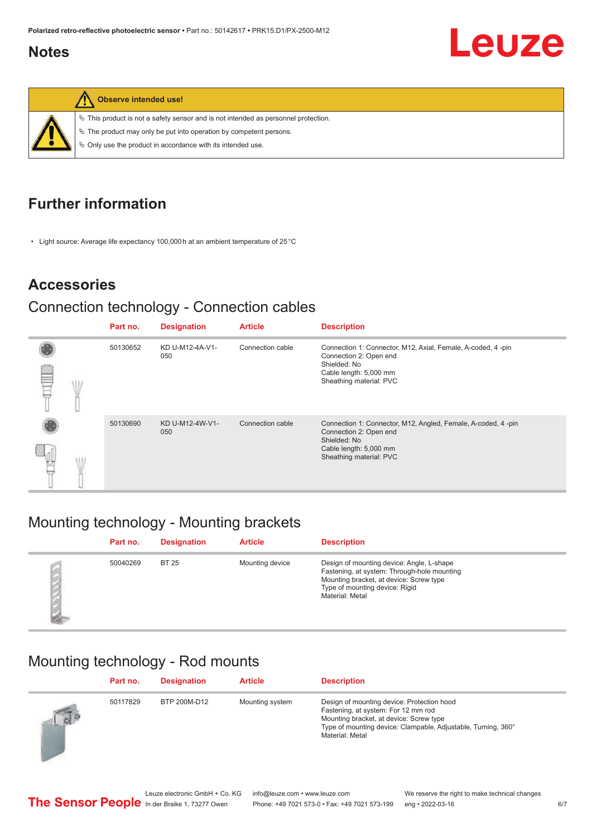#### <span id="page-5-0"></span>**Notes**





**Observe intended use!**

 $\%$  This product is not a safety sensor and is not intended as personnel protection.

 $\%$  The product may only be put into operation by competent persons.

 $\%$  Only use the product in accordance with its intended use.

## **Further information**

• Light source: Average life expectancy 100,000 h at an ambient temperature of 25 °C

#### **Accessories**

#### Connection technology - Connection cables

|  | Part no. | <b>Designation</b>     | <b>Article</b>   | <b>Description</b>                                                                                                                                          |
|--|----------|------------------------|------------------|-------------------------------------------------------------------------------------------------------------------------------------------------------------|
|  | 50130652 | KD U-M12-4A-V1-<br>050 | Connection cable | Connection 1: Connector, M12, Axial, Female, A-coded, 4-pin<br>Connection 2: Open end<br>Shielded: No<br>Cable length: 5,000 mm<br>Sheathing material: PVC  |
|  | 50130690 | KD U-M12-4W-V1-<br>050 | Connection cable | Connection 1: Connector, M12, Angled, Female, A-coded, 4-pin<br>Connection 2: Open end<br>Shielded: No<br>Cable length: 5,000 mm<br>Sheathing material: PVC |

## Mounting technology - Mounting brackets

| Part no. | <b>Designation</b> | <b>Article</b>  | <b>Description</b>                                                                                                                                                                       |
|----------|--------------------|-----------------|------------------------------------------------------------------------------------------------------------------------------------------------------------------------------------------|
| 50040269 | <b>BT 25</b>       | Mounting device | Design of mounting device: Angle, L-shape<br>Fastening, at system: Through-hole mounting<br>Mounting bracket, at device: Screw type<br>Type of mounting device: Rigid<br>Material: Metal |

## Mounting technology - Rod mounts

|            | Part no. | <b>Designation</b> | <b>Article</b>  | <b>Description</b>                                                                                                                                                                                               |
|------------|----------|--------------------|-----------------|------------------------------------------------------------------------------------------------------------------------------------------------------------------------------------------------------------------|
| $\sqrt{d}$ | 50117829 | BTP 200M-D12       | Mounting system | Design of mounting device: Protection hood<br>Fastening, at system: For 12 mm rod<br>Mounting bracket, at device: Screw type<br>Type of mounting device: Clampable, Adjustable, Turning, 360°<br>Material: Metal |